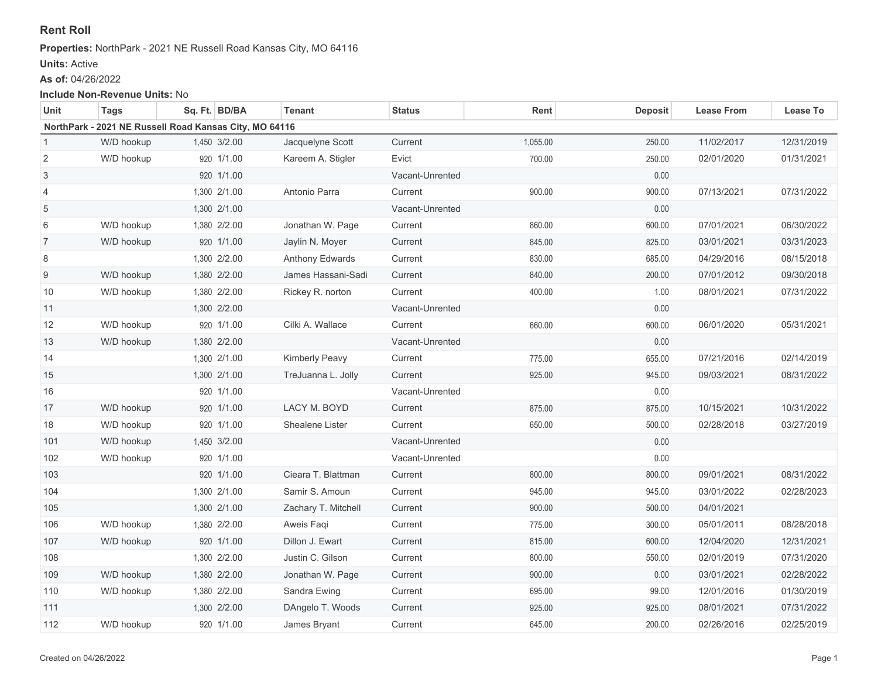# **Rent Roll**

#### **Properties:** NorthPark - 2021 NE Russell Road Kansas City, MO 64116

### **Units:** Active

**As of:** 04/26/2022

#### **Include Non-Revenue Units:** No

| Unit                                                   | Tags       | Sq. Ft. BD/BA | Tenant              | <b>Status</b>   | Rent     | <b>Deposit</b> | <b>Lease From</b> | Lease To   |  |  |  |  |
|--------------------------------------------------------|------------|---------------|---------------------|-----------------|----------|----------------|-------------------|------------|--|--|--|--|
| NorthPark - 2021 NE Russell Road Kansas City, MO 64116 |            |               |                     |                 |          |                |                   |            |  |  |  |  |
| 1                                                      | W/D hookup | 1,450 3/2.00  | Jacquelyne Scott    | Current         | 1,055.00 | 250.00         | 11/02/2017        | 12/31/2019 |  |  |  |  |
| $\sqrt{2}$                                             | W/D hookup | 920 1/1.00    | Kareem A. Stigler   | Evict           | 700.00   | 250.00         | 02/01/2020        | 01/31/2021 |  |  |  |  |
| $\ensuremath{\mathsf{3}}$                              |            | 920 1/1.00    |                     | Vacant-Unrented |          | 0.00           |                   |            |  |  |  |  |
| 4                                                      |            | 1,300 2/1.00  | Antonio Parra       | Current         | 900.00   | 900.00         | 07/13/2021        | 07/31/2022 |  |  |  |  |
| 5                                                      |            | 1,300 2/1.00  |                     | Vacant-Unrented |          | 0.00           |                   |            |  |  |  |  |
| 6                                                      | W/D hookup | 1,380 2/2.00  | Jonathan W. Page    | Current         | 860.00   | 600.00         | 07/01/2021        | 06/30/2022 |  |  |  |  |
| $\overline{7}$                                         | W/D hookup | 920 1/1.00    | Jaylin N. Moyer     | Current         | 845.00   | 825.00         | 03/01/2021        | 03/31/2023 |  |  |  |  |
| 8                                                      |            | 1,300 2/2.00  | Anthony Edwards     | Current         | 830.00   | 685.00         | 04/29/2016        | 08/15/2018 |  |  |  |  |
| $\boldsymbol{9}$                                       | W/D hookup | 1,380 2/2.00  | James Hassani-Sadi  | Current         | 840.00   | 200.00         | 07/01/2012        | 09/30/2018 |  |  |  |  |
| 10                                                     | W/D hookup | 1,380 2/2.00  | Rickey R. norton    | Current         | 400.00   | 1.00           | 08/01/2021        | 07/31/2022 |  |  |  |  |
| 11                                                     |            | 1,300 2/2.00  |                     | Vacant-Unrented |          | 0.00           |                   |            |  |  |  |  |
| 12                                                     | W/D hookup | 920 1/1.00    | Cilki A. Wallace    | Current         | 660.00   | 600.00         | 06/01/2020        | 05/31/2021 |  |  |  |  |
| 13                                                     | W/D hookup | 1,380 2/2.00  |                     | Vacant-Unrented |          | 0.00           |                   |            |  |  |  |  |
| 14                                                     |            | 1,300 2/1.00  | Kimberly Peavy      | Current         | 775.00   | 655.00         | 07/21/2016        | 02/14/2019 |  |  |  |  |
| 15                                                     |            | 1,300 2/1.00  | TreJuanna L. Jolly  | Current         | 925.00   | 945.00         | 09/03/2021        | 08/31/2022 |  |  |  |  |
| 16                                                     |            | 920 1/1.00    |                     | Vacant-Unrented |          | 0.00           |                   |            |  |  |  |  |
| 17                                                     | W/D hookup | 920 1/1.00    | LACY M. BOYD        | Current         | 875.00   | 875.00         | 10/15/2021        | 10/31/2022 |  |  |  |  |
| 18                                                     | W/D hookup | 920 1/1.00    | Shealene Lister     | Current         | 650.00   | 500.00         | 02/28/2018        | 03/27/2019 |  |  |  |  |
| 101                                                    | W/D hookup | 1,450 3/2.00  |                     | Vacant-Unrented |          | 0.00           |                   |            |  |  |  |  |
| 102                                                    | W/D hookup | 920 1/1.00    |                     | Vacant-Unrented |          | 0.00           |                   |            |  |  |  |  |
| 103                                                    |            | 920 1/1.00    | Cieara T. Blattman  | Current         | 800.00   | 800.00         | 09/01/2021        | 08/31/2022 |  |  |  |  |
| 104                                                    |            | 1,300 2/1.00  | Samir S. Amoun      | Current         | 945.00   | 945.00         | 03/01/2022        | 02/28/2023 |  |  |  |  |
| 105                                                    |            | 1,300 2/1.00  | Zachary T. Mitchell | Current         | 900.00   | 500.00         | 04/01/2021        |            |  |  |  |  |
| 106                                                    | W/D hookup | 1,380 2/2.00  | Aweis Faqi          | Current         | 775.00   | 300.00         | 05/01/2011        | 08/28/2018 |  |  |  |  |
| 107                                                    | W/D hookup | 920 1/1.00    | Dillon J. Ewart     | Current         | 815.00   | 600.00         | 12/04/2020        | 12/31/2021 |  |  |  |  |
| 108                                                    |            | 1,300 2/2.00  | Justin C. Gilson    | Current         | 800.00   | 550.00         | 02/01/2019        | 07/31/2020 |  |  |  |  |
| 109                                                    | W/D hookup | 1,380 2/2.00  | Jonathan W. Page    | Current         | 900.00   | 0.00           | 03/01/2021        | 02/28/2022 |  |  |  |  |
| 110                                                    | W/D hookup | 1,380 2/2.00  | Sandra Ewing        | Current         | 695.00   | 99.00          | 12/01/2016        | 01/30/2019 |  |  |  |  |
| 111                                                    |            | 1,300 2/2.00  | DAngelo T. Woods    | Current         | 925.00   | 925.00         | 08/01/2021        | 07/31/2022 |  |  |  |  |
| 112                                                    | W/D hookup | 920 1/1.00    | James Bryant        | Current         | 645.00   | 200.00         | 02/26/2016        | 02/25/2019 |  |  |  |  |